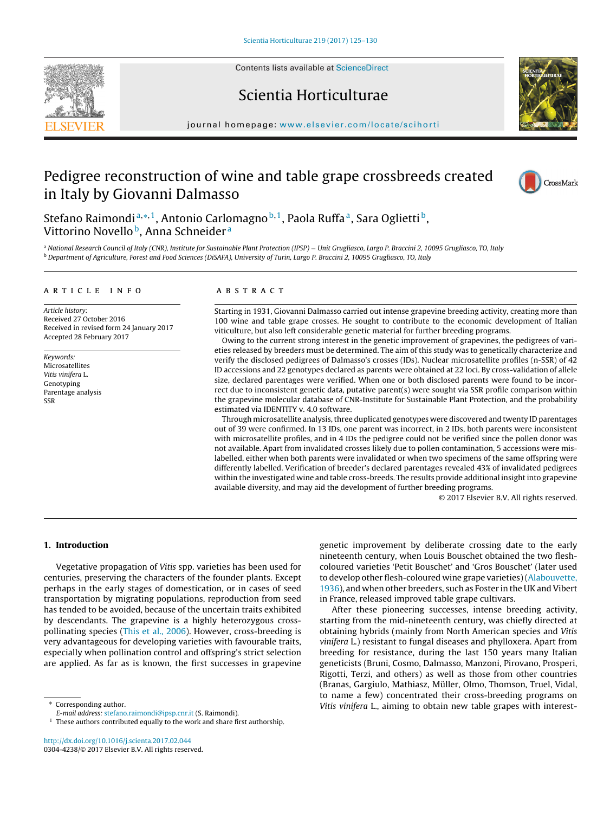Contents lists available at ScienceDirect





# Scientia Horticulturae

journal homepage: www.elsevier.com/locate/scihorti

# Pedigree reconstruction of wine and table grape crossbreeds created in Italy by Giovanni Dalmasso



Stefano Raimondi<sup>a,\*,1</sup>, Antonio Carlomagno<sup>b,1</sup>, Paola Ruffa<sup>a</sup>, Sara Oglietti<sup>b</sup>, Vittorino Novello<sup>b</sup>, Anna Schneider<sup>a</sup>

<sup>a</sup> National Research Council of Italy (CNR), Institute for Sustainable Plant Protection (IPSP) – Unit Grugliasco, Largo P. Braccini 2, 10095 Grugliasco, TO, Italy<br><sup>b</sup> Department of Agriculture, Forest and Food Sciences (D

#### a r t i c l e i n f o

Article history: Received 27 October 2016 Received in revised form 24 January 2017 Accepted 28 February 2017

Keywords: Microsatellites Vitis vinifera L. Genotyping Parentage analysis SSR

#### A B S T R A C T

Starting in 1931, Giovanni Dalmasso carried out intense grapevine breeding activity, creating more than 100 wine and table grape crosses. He sought to contribute to the economic development of Italian viticulture, but also left considerable genetic material for further breeding programs.

Owing to the current strong interest in the genetic improvement of grapevines, the pedigrees of varieties released by breeders must be determined. The aim of this study was to genetically characterize and verify the disclosed pedigrees of Dalmasso's crosses (IDs). Nuclear microsatellite profiles (n-SSR) of 42 ID accessions and 22 genotypes declared as parents were obtained at 22 loci. By cross-validation of allele size, declared parentages were verified. When one or both disclosed parents were found to be incorrect due to inconsistent genetic data, putative parent(s) were sought via SSR profile comparison within the grapevine molecular database of CNR-Institute for Sustainable Plant Protection, and the probability estimated via IDENTITY v. 4.0 software.

Through microsatellite analysis,three duplicated genotypes were discovered and twenty ID parentages out of 39 were confirmed. In 13 IDs, one parent was incorrect, in 2 IDs, both parents were inconsistent with microsatellite profiles, and in 4 IDs the pedigree could not be verified since the pollen donor was not available. Apart from invalidated crosses likely due to pollen contamination, 5 accessions were mislabelled, either when both parents were invalidated or when two specimens of the same offspring were differently labelled. Verification of breeder's declared parentages revealed 43% of invalidated pedigrees within the investigated wine and table cross-breeds. The results provide additional insight into grapevine available diversity, and may aid the development of further breeding programs.

© 2017 Elsevier B.V. All rights reserved.

## **1. Introduction**

Vegetative propagation of Vitis spp. varieties has been used for centuries, preserving the characters of the founder plants. Except perhaps in the early stages of domestication, or in cases of seed transportation by migrating populations, reproduction from seed has tended to be avoided, because of the uncertain traits exhibited by descendants. The grapevine is a highly heterozygous crosspollinating species (This et al., 2006). However, cross-breeding is very advantageous for developing varieties with favourable traits, especially when pollination control and offspring's strict selection are applied. As far as is known, the first successes in grapevine

Corresponding author.

http://dx.doi.org/10.1016/j.scienta.2017.02.044 0304-4238/© 2017 Elsevier B.V. All rights reserved. genetic improvement by deliberate crossing date to the early nineteenth century, when Louis Bouschet obtained the two fleshcoloured varieties 'Petit Bouschet' and 'Gros Bouschet' (later used to develop other flesh-coloured wine grape varieties)(Alabouvette, 1936), and when other breeders, such as Foster in the UK and Vibert in France, released improved table grape cultivars.

After these pioneering successes, intense breeding activity, starting from the mid-nineteenth century, was chiefly directed at obtaining hybrids (mainly from North American species and Vitis vinifera L.) resistant to fungal diseases and phylloxera. Apart from breeding for resistance, during the last 150 years many Italian geneticists (Bruni, Cosmo, Dalmasso, Manzoni, Pirovano, Prosperi, Rigotti, Terzi, and others) as well as those from other countries (Branas, Gargiulo, Mathiasz, Müller, Olmo, Thomson, Truel, Vidal, to name a few) concentrated their cross-breeding programs on Vitis vinifera L., aiming to obtain new table grapes with interest-

E-mail address: stefano.raimondi@ipsp.cnr.it (S. Raimondi).

 $1$  These authors contributed equally to the work and share first authorship.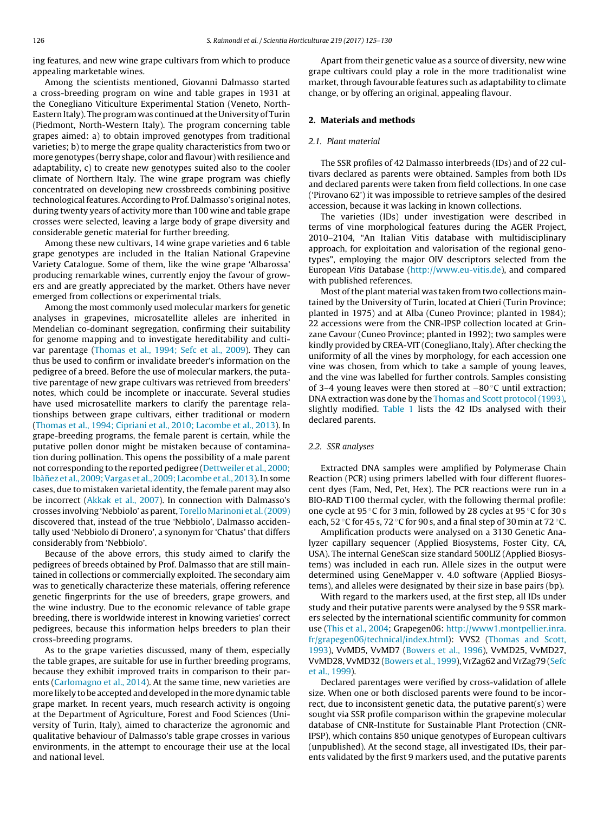ing features, and new wine grape cultivars from which to produce appealing marketable wines.

Among the scientists mentioned, Giovanni Dalmasso started a cross-breeding program on wine and table grapes in 1931 at the Conegliano Viticulture Experimental Station (Veneto, North-Eastern Italy). The program was continued at the University of Turin (Piedmont, North-Western Italy). The program concerning table grapes aimed: a) to obtain improved genotypes from traditional varieties; b) to merge the grape quality characteristics from two or more genotypes (berry shape, color and flavour) with resilience and adaptability, c) to create new genotypes suited also to the cooler climate of Northern Italy. The wine grape program was chiefly concentrated on developing new crossbreeds combining positive technological features. According to Prof. Dalmasso's original notes, during twenty years of activity more than 100 wine and table grape crosses were selected, leaving a large body of grape diversity and considerable genetic material for further breeding.

Among these new cultivars, 14 wine grape varieties and 6 table grape genotypes are included in the Italian National Grapevine Variety Catalogue. Some of them, like the wine grape 'Albarossa' producing remarkable wines, currently enjoy the favour of growers and are greatly appreciated by the market. Others have never emerged from collections or experimental trials.

Among the most commonly used molecular markers for genetic analyses in grapevines, microsatellite alleles are inherited in Mendelian co-dominant segregation, confirming their suitability for genome mapping and to investigate hereditability and cultivar parentage (Thomas et al., 1994; Sefc et al., 2009). They can thus be used to confirm or invalidate breeder's information on the pedigree of a breed. Before the use of molecular markers, the putative parentage of new grape cultivars was retrieved from breeders' notes, which could be incomplete or inaccurate. Several studies have used microsatellite markers to clarify the parentage relationships between grape cultivars, either traditional or modern (Thomas et al., 1994; Cipriani et al., 2010; Lacombe et al., 2013). In grape-breeding programs, the female parent is certain, while the putative pollen donor might be mistaken because of contamination during pollination. This opens the possibility of a male parent not corresponding to the reported pedigree (Dettweiler et al., 2000; Ibàñez et al., 2009; Vargas et al., 2009; Lacombe et al., 2013). In some cases, due to mistaken varietal identity, the female parent may also be incorrect (Akkak et al., 2007). In connection with Dalmasso's crosses involving 'Nebbiolo' as parent, Torello Marinoni et al.(2009) discovered that, instead of the true 'Nebbiolo', Dalmasso accidentally used 'Nebbiolo di Dronero', a synonym for 'Chatus' that differs considerably from 'Nebbiolo'.

Because of the above errors, this study aimed to clarify the pedigrees of breeds obtained by Prof. Dalmasso that are still maintained in collections or commercially exploited. The secondary aim was to genetically characterize these materials, offering reference genetic fingerprints for the use of breeders, grape growers, and the wine industry. Due to the economic relevance of table grape breeding, there is worldwide interest in knowing varieties' correct pedigrees, because this information helps breeders to plan their cross-breeding programs.

As to the grape varieties discussed, many of them, especially the table grapes, are suitable for use in further breeding programs, because they exhibit improved traits in comparison to their parents (Carlomagno et al., 2014). At the same time, new varieties are more likely to be accepted and developed inthemore dynamic table grape market. In recent years, much research activity is ongoing at the Department of Agriculture, Forest and Food Sciences (University of Turin, Italy), aimed to characterize the agronomic and qualitative behaviour of Dalmasso's table grape crosses in various environments, in the attempt to encourage their use at the local and national level.

Apart from their genetic value as a source of diversity, new wine grape cultivars could play a role in the more traditionalist wine market, through favourable features such as adaptability to climate change, or by offering an original, appealing flavour.

## **2. Materials and methods**

#### 2.1. Plant material

The SSR profiles of 42 Dalmasso interbreeds (IDs) and of 22 cultivars declared as parents were obtained. Samples from both IDs and declared parents were taken from field collections. In one case ('Pirovano 62') it was impossible to retrieve samples of the desired accession, because it was lacking in known collections.

The varieties (IDs) under investigation were described in terms of vine morphological features during the AGER Project, 2010–2104, "An Italian Vitis database with multidisciplinary approach, for exploitation and valorisation of the regional genotypes", employing the major OIV descriptors selected from the European Vitis Database (http://www.eu-vitis.de), and compared with published references.

Most of the plant material was taken from two collections maintained by the University of Turin, located at Chieri (Turin Province; planted in 1975) and at Alba (Cuneo Province; planted in 1984); 22 accessions were from the CNR-IPSP collection located at Grinzane Cavour (Cuneo Province; planted in 1992); two samples were kindly provided by CREA-VIT (Conegliano, Italy). After checking the uniformity of all the vines by morphology, for each accession one vine was chosen, from which to take a sample of young leaves, and the vine was labelled for further controls. Samples consisting of 3–4 young leaves were then stored at −80 ◦C until extraction; DNA extraction was done by the Thomas and Scott protocol (1993), slightly modified. Table 1 lists the 42 IDs analysed with their declared parents.

### 2.2. SSR analyses

Extracted DNA samples were amplified by Polymerase Chain Reaction (PCR) using primers labelled with four different fluorescent dyes (Fam, Ned, Pet, Hex). The PCR reactions were run in a BIO-RAD T100 thermal cycler, with the following thermal profile: one cycle at 95 ◦C for 3 min, followed by 28 cycles at 95 ◦C for 30 s each, 52  $\degree$ C for 45 s, 72  $\degree$ C for 90 s, and a final step of 30 min at 72  $\degree$ C.

Amplification products were analysed on a 3130 Genetic Analyzer capillary sequencer (Applied Biosystems, Foster City, CA, USA). The internal GeneScan size standard 500LIZ (Applied Biosystems) was included in each run. Allele sizes in the output were determined using GeneMapper v. 4.0 software (Applied Biosystems), and alleles were designated by their size in base pairs (bp).

With regard to the markers used, at the first step, all IDs under study and their putative parents were analysed by the 9 SSR markers selected by the international scientific community for common use (This et al., 2004; Grapegen06: http://www1.montpellier.inra. fr/grapegen06/technical/index.html): VVS2 (Thomas and Scott, 1993), VvMD5, VvMD7 (Bowers et al., 1996), VvMD25, VvMD27, VvMD28, VvMD32 (Bowers et al., 1999), VrZag62 and VrZag79 (Sefc et al., 1999).

Declared parentages were verified by cross-validation of allele size. When one or both disclosed parents were found to be incorrect, due to inconsistent genetic data, the putative parent(s) were sought via SSR profile comparison within the grapevine molecular database of CNR-Institute for Sustainable Plant Protection (CNR-IPSP), which contains 850 unique genotypes of European cultivars (unpublished). At the second stage, all investigated IDs, their parents validated by the first 9 markers used, and the putative parents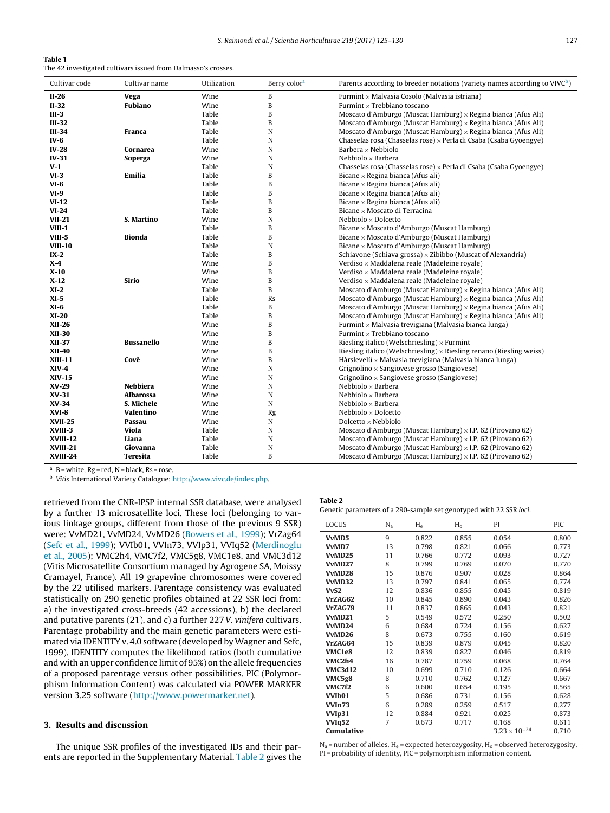| Table 1                                                       |  |
|---------------------------------------------------------------|--|
| The 42 investigated cultivars issued from Dalmasso's crosses. |  |

| Cultivar code   | Cultivar name   | Utilization | Berry color <sup>a</sup> | Parents according to breeder notations (variety names according to VIVC <sup>b</sup> ) |
|-----------------|-----------------|-------------|--------------------------|----------------------------------------------------------------------------------------|
| II-26           | Vega            | Wine        | B                        | Furmint × Malvasia Cosolo (Malvasia istriana)                                          |
| $II-32$         | <b>Fubiano</b>  | Wine        | B                        | Furmint $\times$ Trebbiano toscano                                                     |
| $III-3$         |                 | Table       | B                        | Moscato d'Amburgo (Muscat Hamburg) $\times$ Regina bianca (Afus Ali)                   |
| $III-32$        |                 | Table       | B                        | Moscato d'Amburgo (Muscat Hamburg) $\times$ Regina bianca (Afus Ali)                   |
| $III-34$        | Franca          | Table       | N                        | Moscato d'Amburgo (Muscat Hamburg) $\times$ Regina bianca (Afus Ali)                   |
| $IV-6$          |                 | Table       | N                        | Chasselas rosa (Chasselas rose) × Perla di Csaba (Csaba Gyoengye)                      |
| $IV-28$         | Cornarea        | Wine        | N                        | Barbera $\times$ Nebbiolo                                                              |
| $IV-31$         | Soperga         | Wine        | N                        | Nebbiolo $\times$ Barbera                                                              |
| $V-1$           |                 | Table       | N                        | Chasselas rosa (Chasselas rose) × Perla di Csaba (Csaba Gyoengye)                      |
| $VI-3$          | Emilia          | Table       | B                        | Bicane $\times$ Regina bianca (Afus ali)                                               |
| $VI-6$          |                 | Table       | B                        | Bicane $\times$ Regina bianca (Afus ali)                                               |
| $VI-9$          |                 | Table       | B                        | Bicane $\times$ Regina bianca (Afus ali)                                               |
| $VI-12$         |                 | Table       | B                        | Bicane $\times$ Regina bianca (Afus ali)                                               |
| $VI-24$         |                 | Table       | B                        | Bicane $\times$ Moscato di Terracina                                                   |
| <b>VII-21</b>   | S. Martino      | Wine        | N                        | Nebbiolo $\times$ Dolcetto                                                             |
| $VIII-1$        |                 | Table       | B                        | Bicane × Moscato d'Amburgo (Muscat Hamburg)                                            |
| VIII-5          | <b>Bionda</b>   | Table       | B                        | Bicane × Moscato d'Amburgo (Muscat Hamburg)                                            |
| <b>VIII-10</b>  |                 | Table       | N                        | Bicane × Moscato d'Amburgo (Muscat Hamburg)                                            |
| $IX-2$          |                 | Table       | B                        | Schiavone (Schiava grossa) $\times$ Zibibbo (Muscat of Alexandria)                     |
| $X-4$           |                 | Wine        | B                        | Verdiso × Maddalena reale (Madeleine royale)                                           |
| $X-10$          |                 | Wine        | B                        | Verdiso $\times$ Maddalena reale (Madeleine royale)                                    |
| $X-12$          | Sirio           | Wine        | B                        | Verdiso × Maddalena reale (Madeleine royale)                                           |
| $XI-2$          |                 | Table       | B                        | Moscato d'Amburgo (Muscat Hamburg) $\times$ Regina bianca (Afus Ali)                   |
| $XI-5$          |                 | Table       | Rs                       | Moscato d'Amburgo (Muscat Hamburg) $\times$ Regina bianca (Afus Ali)                   |
| $XI-6$          |                 | Table       | B                        | Moscato d'Amburgo (Muscat Hamburg) $\times$ Regina bianca (Afus Ali)                   |
| $XI-20$         |                 | Table       | B                        | Moscato d'Amburgo (Muscat Hamburg) $\times$ Regina bianca (Afus Ali)                   |
| <b>XII-26</b>   |                 | Wine        | B                        | Furmint × Malvasia trevigiana (Malvasia bianca lunga)                                  |
| <b>XII-30</b>   |                 | Wine        | B                        | Furmint $\times$ Trebbiano toscano                                                     |
| <b>XII-37</b>   | Bussanello      | Wine        | B                        | Riesling italico (Welschriesling) $\times$ Furmint                                     |
| <b>XII-40</b>   |                 | Wine        | B                        | Riesling italico (Welschriesling) $\times$ Riesling renano (Riesling weiss)            |
| <b>XIII-11</b>  | Covè            | Wine        | B                        | Hàrslevelü $\times$ Malvasia trevigiana (Malvasia bianca lunga)                        |
| $XIV-4$         |                 | Wine        | N                        | Grignolino $\times$ Sangiovese grosso (Sangiovese)                                     |
| <b>XIV-15</b>   |                 | Wine        | N                        | Grignolino $\times$ Sangiovese grosso (Sangiovese)                                     |
| XV-29           | <b>Nebbiera</b> | Wine        | N                        | Nebbiolo $\times$ Barbera                                                              |
| XV-31           | Albarossa       | Wine        | N                        | Nebbiolo $\times$ Barbera                                                              |
| <b>XV-34</b>    | S. Michele      | Wine        | N                        | Nebbiolo $\times$ Barbera                                                              |
| $XVI-8$         | Valentino       | Wine        | Rg                       | Nebbiolo $\times$ Dolcetto                                                             |
| <b>XVII-25</b>  | Passau          | Wine        | N                        | Dolcetto $\times$ Nebbiolo                                                             |
| XVIII-3         | Viola           | Table       | N                        | Moscato d'Amburgo (Muscat Hamburg) $\times$ I.P. 62 (Pirovano 62)                      |
| <b>XVIII-12</b> | Liana           | Table       | N                        | Moscato d'Amburgo (Muscat Hamburg) $\times$ I.P. 62 (Pirovano 62)                      |
| <b>XVIII-21</b> | Giovanna        | Table       | N                        | Moscato d'Amburgo (Muscat Hamburg) $\times$ I.P. 62 (Pirovano 62)                      |
| XVIII-24        | Teresita        | Table       | B                        | Moscato d'Amburgo (Muscat Hamburg) $\times$ I.P. 62 (Pirovano 62)                      |

 $a \, B =$  white, Rg = red, N = black, Rs = rose.

<sup>b</sup> Vitis International Variety Catalogue: http://www.vivc.de/index.php.

retrieved from the CNR-IPSP internal SSR database, were analysed by a further 13 microsatellite loci. These loci (belonging to various linkage groups, different from those of the previous 9 SSR) were: VvMD21, VvMD24, VvMD26 (Bowers et al., 1999); VrZag64 (Sefc et al., 1999); VVIb01, VVIn73, VVIp31, VVIq52 (Merdinoglu et al., 2005); VMC2h4, VMC7f2, VMC5g8, VMC1e8, and VMC3d12 (Vitis Microsatellite Consortium managed by Agrogene SA, Moissy Cramayel, France). All 19 grapevine chromosomes were covered by the 22 utilised markers. Parentage consistency was evaluated statistically on 290 genetic profiles obtained at 22 SSR loci from: a) the investigated cross-breeds (42 accessions), b) the declared and putative parents (21), and c) a further 227 V. vinifera cultivars. Parentage probability and the main genetic parameters were estimated via IDENTITY v. 4.0 software (developed by Wagner and Sefc, 1999). IDENTITY computes the likelihood ratios (both cumulative and with an upper confidence limit of 95%) on the allele frequencies of a proposed parentage versus other possibilities. PIC (Polymorphism Information Content) was calculated via POWER MARKER version 3.25 software (http://www.powermarker.net).

### **3. Results and discussion**

The unique SSR profiles of the investigated IDs and their parents are reported in the Supplementary Material. Table 2 gives the

| ıle 2 |  |
|-------|--|
|-------|--|

 $TaI$ 

Genetic parameters of a 290-sample set genotyped with 22 SSR loci.

| LOCUS<br>PI<br>PIC<br>$N_a$<br>$H_e$<br>$H_0$<br>9<br>VvMD5<br>0.822<br>0.855<br>0.054<br>VvMD7<br>13<br>0.798<br>0.821<br>0.066<br>VvMD25<br>0.772<br>0.093<br>11<br>0.766<br>VvMD27<br>8<br>0.799<br>0.769<br>0.070<br>VvMD28<br>15<br>0.876<br>0.907<br>0.028<br>VvMD32<br>13<br>0.797<br>0.841<br>0.065<br>VvS <sub>2</sub><br>12<br>0.836<br>0.855<br>0.045<br>VrZAG62<br>10<br>0.845<br>0.890<br>0.043<br>VrZAG79<br>0.043<br>11<br>0.837<br>0.865<br>5<br>VvMD21<br>0.549<br>0.572<br>0.250<br>6<br>VvMD24<br>0.724<br>0.684<br>0.156<br>8<br>VvMD26<br>0.673<br>0.755<br>0.160<br>15<br>VrZAG64<br>0.839<br>0.879<br>0.045<br>VMC1e8<br>12<br>0.046<br>0.839<br>0.827<br>VMC2h4<br>16<br>0.787<br>0.759<br>0.068<br><b>VMC3d12</b><br>10<br>0.699<br>0.710<br>0.126<br>8<br>VMC5g8<br>0.710<br>0.762<br>0.127<br>6<br><b>VMC7f2</b><br>0.600<br>0.654<br>0.195<br>5<br>VVIb01<br>0.731<br>0.686<br>0.156<br>6<br>VVIn73<br>0.289<br>0.259<br>0.517<br>VVI <sub>p31</sub><br>12<br>0.884<br>0.921<br>0.025<br><b>VVIq52</b><br>7<br>0.673<br>0.717<br>0.168<br>$3.23 \times 10^{-24}$<br>Cumulative |  |  |       |
|------------------------------------------------------------------------------------------------------------------------------------------------------------------------------------------------------------------------------------------------------------------------------------------------------------------------------------------------------------------------------------------------------------------------------------------------------------------------------------------------------------------------------------------------------------------------------------------------------------------------------------------------------------------------------------------------------------------------------------------------------------------------------------------------------------------------------------------------------------------------------------------------------------------------------------------------------------------------------------------------------------------------------------------------------------------------------------------------------------|--|--|-------|
|                                                                                                                                                                                                                                                                                                                                                                                                                                                                                                                                                                                                                                                                                                                                                                                                                                                                                                                                                                                                                                                                                                            |  |  |       |
|                                                                                                                                                                                                                                                                                                                                                                                                                                                                                                                                                                                                                                                                                                                                                                                                                                                                                                                                                                                                                                                                                                            |  |  | 0.800 |
|                                                                                                                                                                                                                                                                                                                                                                                                                                                                                                                                                                                                                                                                                                                                                                                                                                                                                                                                                                                                                                                                                                            |  |  | 0.773 |
|                                                                                                                                                                                                                                                                                                                                                                                                                                                                                                                                                                                                                                                                                                                                                                                                                                                                                                                                                                                                                                                                                                            |  |  | 0.727 |
|                                                                                                                                                                                                                                                                                                                                                                                                                                                                                                                                                                                                                                                                                                                                                                                                                                                                                                                                                                                                                                                                                                            |  |  | 0.770 |
|                                                                                                                                                                                                                                                                                                                                                                                                                                                                                                                                                                                                                                                                                                                                                                                                                                                                                                                                                                                                                                                                                                            |  |  | 0.864 |
|                                                                                                                                                                                                                                                                                                                                                                                                                                                                                                                                                                                                                                                                                                                                                                                                                                                                                                                                                                                                                                                                                                            |  |  | 0.774 |
|                                                                                                                                                                                                                                                                                                                                                                                                                                                                                                                                                                                                                                                                                                                                                                                                                                                                                                                                                                                                                                                                                                            |  |  | 0.819 |
|                                                                                                                                                                                                                                                                                                                                                                                                                                                                                                                                                                                                                                                                                                                                                                                                                                                                                                                                                                                                                                                                                                            |  |  | 0.826 |
|                                                                                                                                                                                                                                                                                                                                                                                                                                                                                                                                                                                                                                                                                                                                                                                                                                                                                                                                                                                                                                                                                                            |  |  | 0.821 |
|                                                                                                                                                                                                                                                                                                                                                                                                                                                                                                                                                                                                                                                                                                                                                                                                                                                                                                                                                                                                                                                                                                            |  |  | 0.502 |
|                                                                                                                                                                                                                                                                                                                                                                                                                                                                                                                                                                                                                                                                                                                                                                                                                                                                                                                                                                                                                                                                                                            |  |  | 0.627 |
|                                                                                                                                                                                                                                                                                                                                                                                                                                                                                                                                                                                                                                                                                                                                                                                                                                                                                                                                                                                                                                                                                                            |  |  | 0.619 |
|                                                                                                                                                                                                                                                                                                                                                                                                                                                                                                                                                                                                                                                                                                                                                                                                                                                                                                                                                                                                                                                                                                            |  |  | 0.820 |
|                                                                                                                                                                                                                                                                                                                                                                                                                                                                                                                                                                                                                                                                                                                                                                                                                                                                                                                                                                                                                                                                                                            |  |  | 0.819 |
|                                                                                                                                                                                                                                                                                                                                                                                                                                                                                                                                                                                                                                                                                                                                                                                                                                                                                                                                                                                                                                                                                                            |  |  | 0.764 |
|                                                                                                                                                                                                                                                                                                                                                                                                                                                                                                                                                                                                                                                                                                                                                                                                                                                                                                                                                                                                                                                                                                            |  |  | 0.664 |
|                                                                                                                                                                                                                                                                                                                                                                                                                                                                                                                                                                                                                                                                                                                                                                                                                                                                                                                                                                                                                                                                                                            |  |  | 0.667 |
|                                                                                                                                                                                                                                                                                                                                                                                                                                                                                                                                                                                                                                                                                                                                                                                                                                                                                                                                                                                                                                                                                                            |  |  | 0.565 |
|                                                                                                                                                                                                                                                                                                                                                                                                                                                                                                                                                                                                                                                                                                                                                                                                                                                                                                                                                                                                                                                                                                            |  |  | 0.628 |
|                                                                                                                                                                                                                                                                                                                                                                                                                                                                                                                                                                                                                                                                                                                                                                                                                                                                                                                                                                                                                                                                                                            |  |  | 0.277 |
|                                                                                                                                                                                                                                                                                                                                                                                                                                                                                                                                                                                                                                                                                                                                                                                                                                                                                                                                                                                                                                                                                                            |  |  | 0.873 |
|                                                                                                                                                                                                                                                                                                                                                                                                                                                                                                                                                                                                                                                                                                                                                                                                                                                                                                                                                                                                                                                                                                            |  |  | 0.611 |
|                                                                                                                                                                                                                                                                                                                                                                                                                                                                                                                                                                                                                                                                                                                                                                                                                                                                                                                                                                                                                                                                                                            |  |  | 0.710 |

 $N_a$  = number of alleles,  $H_e$  = expected heterozygosity,  $H_o$  = observed heterozygosity, PI = probability of identity, PIC = polymorphism information content.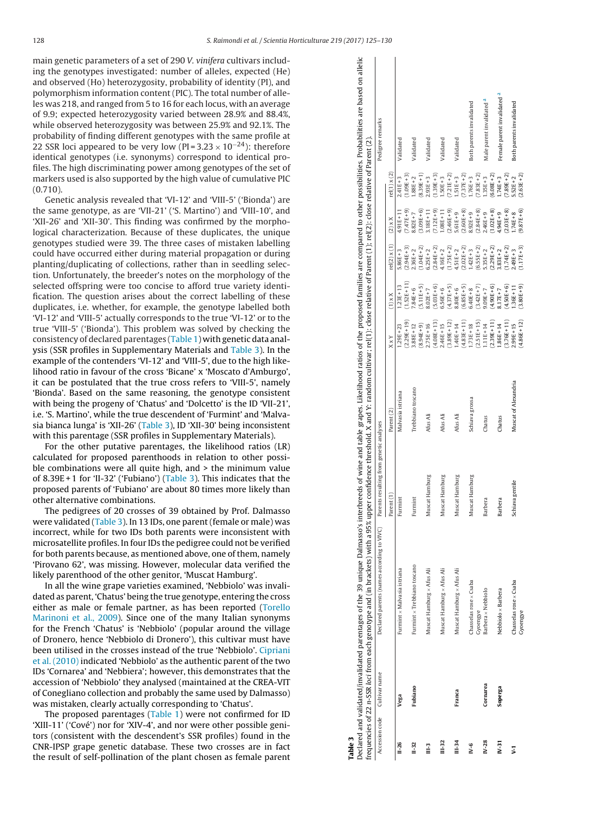main genetic parameters of a set of 290 V. vinifera cultivars including the genotypes investigated: number of alleles, expected (He) and observed (Ho) heterozygosity, probability of identity (PI), and polymorphism information content (PIC). The total number of alleles was 218, and ranged from 5 to 16 for each locus, with an average of 9.9; expected heterozygosity varied between 28.9% and 88.4%, while observed heterozygosity was between 25.9% and 92.1%. The probability of finding different genotypes with the same profile at 22 SSR loci appeared to be very low (PI=3.23  $\times$  10<sup>-24</sup>): therefore identical genotypes (i.e. synonyms) correspond to identical profiles. The high discriminating power among genotypes of the set of markers used is also supported by the high value of cumulative PIC (0.710).

Genetic analysis revealed that 'VI-12' and 'VIII-5' ('Bionda') are the same genotype, as are 'VII-21' ('S. Martino') and 'VIII-10', and 'XII-26' and 'XII-30'. This finding was confirmed by the morphological characterization. Because of these duplicates, the unique genotypes studied were 39. The three cases of mistaken labelling could have occurred either during material propagation or during planting/duplicating of collections, rather than in seedling selection. Unfortunately, the breeder's notes on the morphology of the selected offspring were too concise to afford true variety identification. The question arises about the correct labelling of these duplicates, i.e. whether, for example, the genotype labelled both 'VI-12' and 'VIII-5' actually corresponds to the true 'VI-12' or to the true 'VIII-5' ('Bionda'). This problem was solved by checking the consistency of declared parentages (T<mark>able</mark> 1 ) with genetic data analysis (SSR profiles in Supplementary Materials and Table 3). In the example of the contenders 'VI-12' and 'VIII-5', due to the high likelihood ratio in favour of the cross 'Bicane' x 'Moscato d'Amburgo', it can be postulated that the true cross refers to 'VIII-5', namely 'Bionda'. Based on the same reasoning, the genotype consistent with being the progeny of 'Chatus' and 'Dolcetto' is the ID 'VII-21', i.e. 'S. Martino', while the true descendent of 'Furmint' and 'Malvasia bianca lunga' is 'XII-26' (Table 3), ID 'XII-30' being inconsistent with this parentage (SSR profiles in Supplementary Materials).

For the other putative parentages, the likelihood ratios (LR) calculated for proposed parenthoods in relation to other possible combinations were all quite high, and > the minimum value of 8.39E+1 for 'II-32' ('Fubiano') (Table 3). This indicates that the proposed parents of 'Fubiano' are about 80 times more likely than other alternative combinations.

The pedigrees of 20 crosses of 39 obtained by Prof. Dalmasso were validated (Table 3). In 13 IDs, one parent (female or male) was incorrect, while for two IDs both parents were inconsistent with microsatellite profiles. In four IDs the pedigree could not be verified for both parents because, as mentioned above, one of them, namely 'Pirovano 62', was missing. However, molecular data verified the likely parenthood of the other genitor, 'Muscat Hamburg'.

In all the wine grape varieties examined, 'Nebbiolo' was invalidated as parent, 'Chatus' being the true genotype, entering the cross either as male or female partner, as has been reported (Torello Marinoni et al., 2009). Since one of the many Italian synonyms for the French 'Chatus' is 'Nebbiolo' (popular around the village of Dronero, hence 'Nebbiolo di Dronero'), this cultivar must have been utilised in the crosses instead of the true 'Nebbiolo'. Cipriani et al. (2010) indicated 'Nebbiolo' as the authentic parent of the two IDs 'Cornarea' and 'Nebbiera'; however, this demonstrates that the accession of 'Nebbiolo' they analysed (maintained at the CREA-VIT of Conegliano collection and probably the same used by Dalmasso) was mistaken, clearly actually corresponding to 'Chatus'.

The proposed parentages (Table 1) were not confirmed for ID 'XIII-11' ('Cové') nor for 'XIV-4', and nor were other possible genitors (consistent with the descendent's SSR profiles) found in the CNR-IPSP grape genetic database. These two crosses are in fact the result of self-pollination of the plant chosen as female parent

|                |                              | Declared and validated parentages of the 39 unique Dalmasso's interbreeds of wine and table grapes. Likelihood ratios of the proposed families are compared to other possibilities. Probabilities are based on allelic |                                         |                      |                |               |                     |               |                     |                                        |
|----------------|------------------------------|------------------------------------------------------------------------------------------------------------------------------------------------------------------------------------------------------------------------|-----------------------------------------|----------------------|----------------|---------------|---------------------|---------------|---------------------|----------------------------------------|
|                |                              | frequencies of 22 n-SSR loci from each genotype and (in brackets) with a 95% upper confidence threshold. X and Y: random cultivar; rel(1); close relative of Parent (1); rel(2); close relative of Parent (2)          |                                         |                      |                |               |                     |               |                     |                                        |
|                | Accession code Cultivar name | Declared parents (names according to VIVC)                                                                                                                                                                             | Parents resulting from genetic analyses |                      |                |               |                     |               |                     | Pedigree remarks                       |
|                |                              |                                                                                                                                                                                                                        | Parent (1)                              | Parent (2)           | XxY            | $(1)$ x X     | $rel(2) \times (1)$ | $(2)$ x X     | $rel(1) \times (2)$ |                                        |
| $II-26$        | Vega                         | Furmint x Malvasia istriana                                                                                                                                                                                            | Furmint                                 | Malvasia istriana    | $.29E + 23$    | $.23E + 13$   | $5.86E + 3$         | $4.91E + 11$  | $2.41E + 3$         | Validated                              |
|                |                              |                                                                                                                                                                                                                        |                                         |                      | $2.29E + 19$   | $1.52E + 11$  | $2.94E + 3$ )       | $7.47E + 9$ ) | $1.09E + 3$         |                                        |
| $II-32$        | Fubiano                      | Furmint x Trebbiano toscano                                                                                                                                                                                            | Furmint                                 | Trebbiano toscano    | $3.88E + 12$   | $0.84E + 6$   | $2.36E + 2$         | $3.82E + 7$   | $-88E + 2$          | Validated                              |
|                |                              |                                                                                                                                                                                                                        |                                         |                      | $8.94E + 9$    | $5.11E + 5$   | $1.04E + 2)$        | $3.09E + 6$ ) | $8.39E + 1$         |                                        |
| $\tilde{=}$    |                              | Muscat Hamburg × Afus Ali                                                                                                                                                                                              | Muscat Hamburg                          | Afus Ali             | $2.75E + 16$   | $3.02E + 7$   | $3.25E + 2$         | $1.18E + 11$  | $2.93E + 3$         | <b>Validated</b>                       |
|                |                              |                                                                                                                                                                                                                        |                                         |                      | $(4.08E + 13)$ | $(5.03E+6)$   | $2.84E + 2$         | $7.12E + 9$   | $1.39E + 3$         |                                        |
| $III-32$       |                              | Muscat Hamburg × Afus Ali                                                                                                                                                                                              | Muscat Hamburg                          | Afus Ali             | $2.46E + 15$   | $6.56E + 6$   | $4.16E + 2$         | $.08E + 11$   | $.50E + 3$          | Validated                              |
|                |                              |                                                                                                                                                                                                                        |                                         |                      | $(3.89E + 12)$ | $4.37E + 5$ ) | $1.75E + 2)$        | $2.46E + 9$   | $7.21E + 2)$        |                                        |
| $III-34$       | Franca                       | Muscat Hamburg × Afus Ali                                                                                                                                                                                              | Muscat Hamburg                          | Afus Ali             | $-40E + 14$    | $8.80E + 6$   | $1.51E+2$           | $0.61E + 9$   | $.51E + 3$          | Validated                              |
|                |                              |                                                                                                                                                                                                                        |                                         |                      | $(4.83E + 11)$ | $(6.85E + 5)$ | $2.02E + 2$         | $2.60E + 8$   | $7.37E + 2$         |                                        |
| $N-6$          |                              | Chasselas rose × Csaba                                                                                                                                                                                                 | Muscat Hamburg                          | Schiava grossa       | $1.73E + 18$   | $6.40E + 8$   | $.42E + 3$          | $3.92E + 9$   | $.76E + 3$          | Both parents invalidated               |
|                |                              | Gyoengye                                                                                                                                                                                                               |                                         |                      | $(2.51E + 15)$ | $(3.42E + 7)$ | $6.55E + 2)$        | $2.84E + 8$   | $7.83E + 2$         |                                        |
| $N-28$         | Cornarea                     | Barbera x Nebbiolo                                                                                                                                                                                                     | Barbera                                 | Chatus               | $.11E + 14$    | $9.09E + 7$   | $5.35E + 2$         | $2.46E + 9$   | $35E + 3$           | Male parent invalidated <sup>a</sup>   |
|                |                              |                                                                                                                                                                                                                        |                                         |                      | $2.39E + 11$   | $4.90E + 6$   | $2.29E + 2$         | $1.02E + 8$   | $6.08E + 2$         |                                        |
| $N-31$         | Soperga                      | Nebbiolo x Barbera                                                                                                                                                                                                     | Barbera                                 | Chatus               | $-86E + 14$    | $3.17E + 7$   | $383E + 2$          | $1.94E + 9$   | $.74E + 3$          | Female parent invalidated <sup>a</sup> |
|                |                              |                                                                                                                                                                                                                        |                                         |                      | $3.76E + 11$   | $(4.50E+6)$   | $1.74E + 2$         | $2.03E + 8$   | $7.89E + 2$         |                                        |
| $\overline{ }$ |                              | Chasselas rose x Csaba                                                                                                                                                                                                 | Schiava gentile                         | Muscat of Alexandria | $2.99E + 15$   | $1.36E + 11$  | $2.49E + 3$         | $1.74E + 8$   | $5.52E + 2$         | Both parents invalidated               |
|                |                              | Gyoengye                                                                                                                                                                                                               |                                         |                      | $(4.86E + 12)$ | $(3.80E + 9)$ | $(1.17E+3)$         | $(9.87E+6)$   | $(2.63E + 2)$       |                                        |

**Table 3**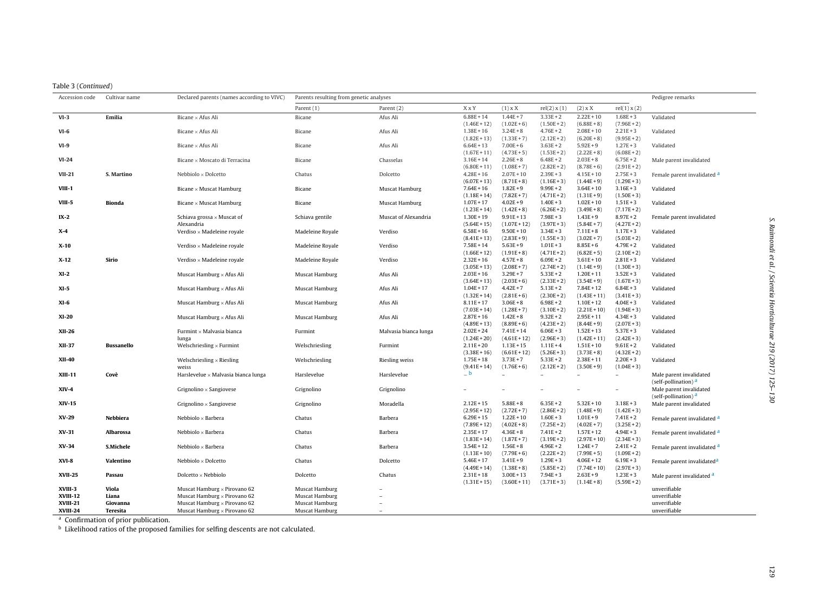|  |  |  | Table 3 (Continued) |
|--|--|--|---------------------|
|--|--|--|---------------------|

| Accession code | Cultivar name     | Declared parents (names according to VIVC) | Parents resulting from genetic analyses |                       |                                |                               |                              |                                |                              | Pedigree remarks                                           |
|----------------|-------------------|--------------------------------------------|-----------------------------------------|-----------------------|--------------------------------|-------------------------------|------------------------------|--------------------------------|------------------------------|------------------------------------------------------------|
|                |                   |                                            | Parent (1)                              | Parent (2)            | XxY                            | $(1)$ x X                     | rel(2) x (1)                 | $(2)$ x X                      | rel(1) x (2)                 |                                                            |
| $VI-3$         | Emilia            | Bicane × Afus Ali                          | Bicane                                  | Afus Ali              | $6.88E + 14$                   | $1.44E + 7$                   | $3.33E + 2$                  | $2.22E + 10$                   | $1.68E + 3$                  | Validated                                                  |
| $VI-6$         |                   |                                            |                                         |                       | $(1.46E + 12)$                 | $(1.02E+6)$                   | $(1.50E + 2)$                | $(6.88E + 8)$                  | $(7.96E + 2)$                |                                                            |
|                |                   | Bicane $\times$ Afus Ali                   | Bicane                                  | Afus Ali              | $1.38E + 16$                   | $3.24E + 8$                   | $4.76E + 2$                  | $2.08E + 10$                   | $2.21E + 3$                  | Validated                                                  |
|                |                   | Bicane × Afus Ali                          | Bicane                                  | Afus Ali              | $(1.82E + 13)$<br>$6.64E + 13$ | $(1.33E+7)$<br>$7.00E + 6$    | $(2.12E + 2)$<br>$3.63E + 2$ | $(6.20E + 8)$<br>$5.92E + 9$   | $(9.95E + 2)$<br>$1.27E + 3$ | Validated                                                  |
|                |                   |                                            |                                         |                       | $(1.67E + 11)$                 | $(4.73E+5)$                   | $(1.53E + 2)$                | $(2.22E+8)$                    | $(6.08E + 2)$                |                                                            |
| $VI-24$        |                   | Bicane × Moscato di Terracina              | Bicane                                  | Chasselas             | $3.16E + 14$                   | $2.26E + 8$                   | $6.48E + 2$                  | $2.03E + 8$                    | $6.75E + 2$                  | Male parent invalidated                                    |
|                |                   |                                            |                                         |                       | $(6.80E + 11)$                 | $(1.08E + 7)$                 | $(2.82E+2)$                  | $(8.78E+6)$                    | $(2.91E+2)$                  |                                                            |
| $VII-21$       | S. Martino        | Nebbiolo × Dolcetto                        | Chatus                                  | Dolcetto              | $4.28E + 16$                   | $2.07E + 10$                  | $2.39E + 3$                  | $4.15E + 10$                   | $2.75E + 3$                  | Female parent invalidated a                                |
|                |                   |                                            |                                         |                       | $(6.07E+13)$                   | $(8.71E+8)$                   | $(1.16E+3)$                  | $(1.44E + 9)$                  | $(1.29E + 3)$                |                                                            |
| VIII-1         |                   | Bicane $\times$ Muscat Hamburg             | Bicane                                  | Muscat Hamburg        | $7.64E + 16$                   | $1.82E + 9$                   | $9.99E + 2$                  | $3.64E + 10$                   | $3.16E + 3$                  | Validated                                                  |
|                |                   |                                            |                                         |                       | $(1.18E + 14)$                 | $(7.82E+7)$                   | $(4.71E+2)$                  | $(1.31E+9)$                    | $(1.50E + 3)$                |                                                            |
| VIII-5         | <b>Bionda</b>     | Bicane $\times$ Muscat Hamburg             | Bicane                                  | Muscat Hamburg        | $1.07E + 17$                   | $4.02E + 9$                   | $1.40E + 3$                  | $1.02E + 10$                   | $1.51E + 3$                  | Validated                                                  |
|                |                   | Schiava grossa $\times$ Muscat of          | Schiava gentile                         | Muscat of Alexandria  | $(1.23E + 14)$<br>$1.30E + 19$ | $(1.42E + 8)$<br>$9.91E + 13$ | $(6.26E + 2)$<br>$7.98E + 3$ | $(3.49E + 8)$<br>$1.43E + 9$   | $(7.17E+2)$<br>$8.97E + 2$   | Female parent invalidated                                  |
| $IX-2$         |                   | Alexandria                                 |                                         |                       | $(5.64E + 15)$                 | $(1.07E + 12)$                | $(3.97E + 3)$                | $(5.84E+7)$                    | $(4.27E + 2)$                |                                                            |
| $X-4$          |                   | Verdiso $\times$ Madeleine royale          | Madeleine Royale                        | Verdiso               | $6.58E + 16$                   | $9.50E + 10$                  | $3.34E + 3$                  | $7.11E + 8$                    | $1.17E + 3$                  | Validated                                                  |
|                |                   |                                            |                                         |                       | $(8.41E+13)$                   | $(2.83E+9)$                   | $(1.55E + 3)$                | $(3.02E + 7)$                  | $(5.03E + 2)$                |                                                            |
| X-10           |                   | Verdiso $\times$ Madeleine royale          | Madeleine Royale                        | Verdiso               | $7.58E + 14$                   | $5.63E + 9$                   | $1.01E + 3$                  | $8.85E + 6$                    | $4.79E + 2$                  | Validated                                                  |
|                |                   |                                            |                                         |                       | $(1.66E + 12)$                 | $(1.91E+8)$                   | $(4.71E+2)$                  | $(6.82E+5)$                    | $(2.10E+2)$                  |                                                            |
| $X-12$         | Sirio             | Verdiso $\times$ Madeleine royale          | Madeleine Royale                        | Verdiso               | $2.32E + 16$                   | $4.57E + 8$                   | $6.09E + 2$                  | $3.61E + 10$                   | $2.81E + 3$                  | Validated                                                  |
|                |                   |                                            |                                         |                       | $(3.05E + 13)$                 | $(2.08E+7)$                   | $(2.74E+2)$                  | $(1.14E+9)$                    | $(1.30E + 3)$                |                                                            |
| $XI-2$         |                   | Muscat Hamburg $\times$ Afus Ali           | Muscat Hamburg                          | Afus Ali              | $2.03E + 16$                   | $3.29E + 7$                   | $5.33E + 2$                  | $1.20E + 11$                   | $3.52E + 3$                  | Validated                                                  |
|                |                   |                                            |                                         |                       | $(3.64E + 13)$                 | $(2.03E+6)$                   | $(2.33E+2)$                  | $(3.54E+9)$                    | $(1.67E + 3)$                |                                                            |
| $XI-5$         |                   | Muscat Hamburg $\times$ Afus Ali           | Muscat Hamburg                          | Afus Ali              | $1.04E + 17$                   | $4.42E + 7$                   | $5.13E + 2$                  | $7.84E + 12$                   | $6.84E + 3$                  | Validated                                                  |
| $XI-6$         |                   | Muscat Hamburg × Afus Ali                  | Muscat Hamburg                          | Afus Ali              | $(1.32E + 14)$<br>$8.11E + 17$ | $(2.81E+6)$<br>$3.06E + 8$    | $(2.30E+2)$<br>$6.98E + 2$   | $(1.43E + 11)$<br>$1.10E + 12$ | $(3.41E+3)$<br>$4.04E + 3$   | Validated                                                  |
|                |                   |                                            |                                         |                       | $(7.03E+14)$                   | $(1.28E + 7)$                 | $(3.10E + 2)$                | $(2.21E+10)$                   | $(1.94E + 3)$                |                                                            |
| <b>XI-20</b>   |                   | Muscat Hamburg $\times$ Afus Ali           | Muscat Hamburg                          | Afus Ali              | $2.87E + 16$                   | $1.42E + 8$                   | $9.32E + 2$                  | $2.95E + 11$                   | $4.34E + 3$                  | Validated                                                  |
|                |                   |                                            |                                         |                       | $(4.89E + 13)$                 | $(8.89E+6)$                   | $(4.23E+2)$                  | $(8.44E+9)$                    | $(2.07E + 3)$                |                                                            |
| <b>XII-26</b>  |                   | Furmint $\times$ Malvasia bianca           | Furmint                                 | Malvasia bianca lunga | $2.02E + 24$                   | $7.41E + 14$                  | $6.06E + 3$                  | $1.52E + 13$                   | $5.37E + 3$                  | Validated                                                  |
|                |                   | lunga                                      |                                         |                       | $(1.24E + 20)$                 | $(4.61E+12)$                  | $(2.96E + 3)$                | $(1.42E + 11)$                 | $(2.42E+3)$                  |                                                            |
| <b>XII-37</b>  | <b>Bussanello</b> | Welschriesling $\times$ Furmint            | Welschriesling                          | Furmint               | $2.11E + 20$                   | $1.13E + 15$                  | $1.11E + 4$                  | $1.51E + 10$                   | $9.61E + 2$                  | Validated                                                  |
|                |                   |                                            |                                         |                       | $(3.38E + 16)$                 | $(6.61E+12)$                  | $(5.26E + 3)$                | $(3.73E + 8)$                  | $(4.32E+2)$                  |                                                            |
| <b>XII-40</b>  |                   | Welschriesling $\times$ Riesling           | Welschriesling                          | Riesling weiss        | $1.75E + 18$                   | $3.73E + 7$                   | $5.33E + 2$                  | $2.38E + 11$                   | $2.20E + 3$                  | Validated                                                  |
|                |                   | weiss                                      |                                         |                       | $(9.41E+14)$<br>$\_$ b         | $(1.76E+6)$                   | $(2.12E+2)$                  | $(3.50E + 9)$                  | $(1.04E + 3)$                |                                                            |
| <b>XIII-11</b> | Covè              | Harslevelue $\times$ Malvasia bianca lunga | Harslevelue                             | Harslevelue           |                                |                               |                              |                                | $\equiv$                     | Male parent invalidated                                    |
| <b>XIV-4</b>   |                   | Grignolino $\times$ Sangiovese             | Grignolino                              | Grignolino            |                                |                               |                              |                                |                              | (self-pollination) <sup>a</sup><br>Male parent invalidated |
|                |                   |                                            |                                         |                       |                                |                               |                              |                                |                              | (self-pollination) <sup>a</sup>                            |
| <b>XIV-15</b>  |                   | Grignolino $\times$ Sangiovese             | Grignolino                              | Moradella             | $2.12E + 15$                   | $5.88E + 8$                   | $6.35E + 2$                  | $5.32E + 10$                   | $3.18E + 3$                  | Male parent invalidated                                    |
|                |                   |                                            |                                         |                       | $(2.95E+12)$                   | $(2.72E+7)$                   | $(2.86E + 2)$                | $(1.48E + 9)$                  | $(1.42E + 3)$                |                                                            |
| XV-29          | Nebbiera          | Nebbiolo $\times$ Barbera                  | Chatus                                  | Barbera               | $6.29E + 15$                   | $1.22E + 10$                  | $1.60E + 3$                  | $1.01E + 9$                    | $7.41E + 2$                  | Female parent invalidated <sup>a</sup>                     |
|                |                   |                                            |                                         |                       | $(7.89E + 12)$                 | $(4.02E+8)$                   | $(7.25E + 2)$                | $(4.02E+7)$                    | $(3.25E + 2)$                |                                                            |
| XV-31          | Albarossa         | Nebbiolo $\times$ Barbera                  | Chatus                                  | Barbera               | $2.35E + 17$                   | $4.36E + 8$                   | $7.41E + 2$                  | $1.57E + 12$                   | $4.94E + 3$                  | Female parent invalidated a                                |
|                |                   |                                            |                                         |                       | $(1.83E + 14)$                 | $(1.87E+7)$                   | $(3.19E + 2)$                | $(2.97E+10)$                   | $(2.34E+3)$                  |                                                            |
| XV-34          | S.Michele         | Nebbiolo $\times$ Barbera                  | Chatus                                  | Barbera               | $3.54E + 12$                   | $1.56E + 8$                   | $4.96E + 2$                  | $1.24E + 7$                    | $2.41E + 2$                  | Female parent invalidated <sup>a</sup>                     |
|                |                   |                                            |                                         |                       | $(1.13E + 10)$                 | $(7.79E+6)$                   | $(2.22E+2)$                  | $(7.99E + 5)$                  | $(1.09E + 2)$                |                                                            |
| XVI-8          | Valentino         | Nebbiolo $\times$ Dolcetto                 | Chatus                                  | Dolcetto              | $5.46E + 17$                   | $3.41E + 9$                   | $1.29E + 3$                  | $4.06E + 12$                   | $6.19E + 3$                  | Female parent invalidated <sup>a</sup>                     |
| <b>XVII-25</b> | Passau            | Dolcetto $\times$ Nebbiolo                 | Dolcetto                                | Chatus                | $(4.49E + 14)$<br>$2.31E + 18$ | $(1.38E + 8)$<br>$3.00E + 13$ | $(5.85E + 2)$<br>$7.94E + 3$ | $(7.74E+10)$<br>$2.63E + 9$    | $(2.97E+3)$<br>$1.23E + 3$   |                                                            |
|                |                   |                                            |                                         |                       | $(1.31E+15)$                   | $(3.60E + 11)$                | $(3.71E+3)$                  | $(1.14E + 8)$                  | $(5.59E + 2)$                | Male parent invalidated <sup>a</sup>                       |
| XVIII-3        | Viola             | Muscat Hamburg $\times$ Pirovano 62        | Muscat Hamburg                          |                       |                                |                               |                              |                                |                              | unverifiable                                               |
| XVIII-12       | Liana             | Muscat Hamburg $\times$ Pirovano 62        | Muscat Hamburg                          |                       |                                |                               |                              |                                |                              | unverifiable                                               |
| XVIII-21       | Giovanna          | Muscat Hamburg × Pirovano 62               | Muscat Hamburg                          |                       |                                |                               |                              |                                |                              | unverifiable                                               |
| XVIII-24       | Teresita          | Muscat Hamburg $\times$ Pirovano 62        | Muscat Hamburg                          |                       |                                |                               |                              |                                |                              | unverifiable                                               |

S. Raimondi et al. / Scientia

Horticulturae

219 (2017)

125–130